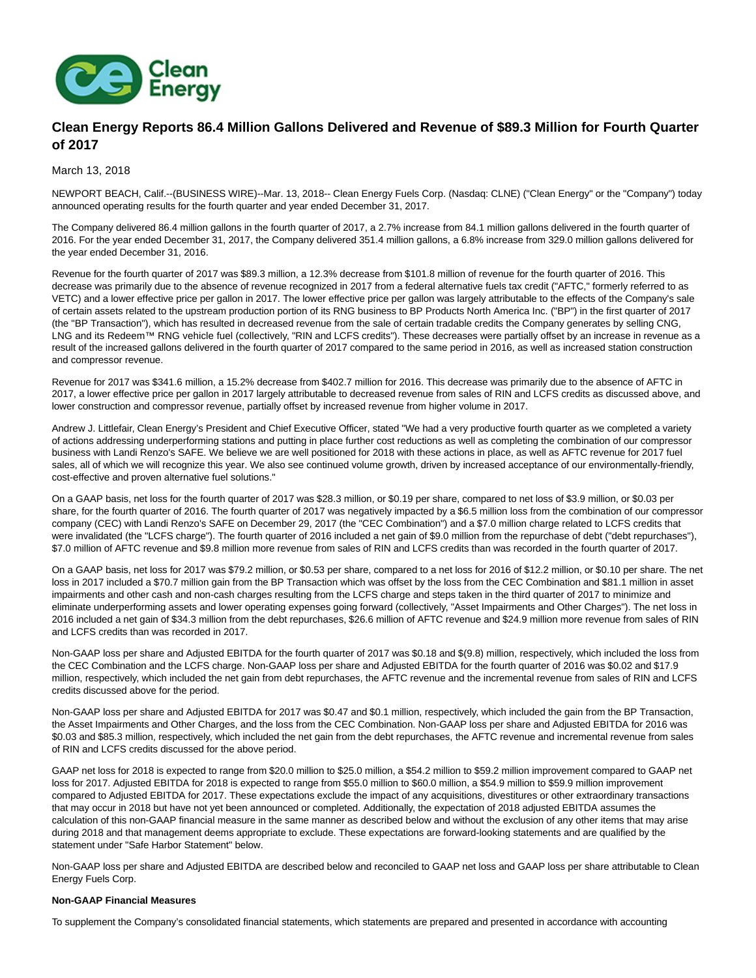

# **Clean Energy Reports 86.4 Million Gallons Delivered and Revenue of \$89.3 Million for Fourth Quarter of 2017**

March 13, 2018

NEWPORT BEACH, Calif.--(BUSINESS WIRE)--Mar. 13, 2018-- Clean Energy Fuels Corp. (Nasdaq: CLNE) ("Clean Energy" or the "Company") today announced operating results for the fourth quarter and year ended December 31, 2017.

The Company delivered 86.4 million gallons in the fourth quarter of 2017, a 2.7% increase from 84.1 million gallons delivered in the fourth quarter of 2016. For the year ended December 31, 2017, the Company delivered 351.4 million gallons, a 6.8% increase from 329.0 million gallons delivered for the year ended December 31, 2016.

Revenue for the fourth quarter of 2017 was \$89.3 million, a 12.3% decrease from \$101.8 million of revenue for the fourth quarter of 2016. This decrease was primarily due to the absence of revenue recognized in 2017 from a federal alternative fuels tax credit ("AFTC," formerly referred to as VETC) and a lower effective price per gallon in 2017. The lower effective price per gallon was largely attributable to the effects of the Company's sale of certain assets related to the upstream production portion of its RNG business to BP Products North America Inc. ("BP") in the first quarter of 2017 (the "BP Transaction"), which has resulted in decreased revenue from the sale of certain tradable credits the Company generates by selling CNG, LNG and its Redeem™ RNG vehicle fuel (collectively, "RIN and LCFS credits"). These decreases were partially offset by an increase in revenue as a result of the increased gallons delivered in the fourth quarter of 2017 compared to the same period in 2016, as well as increased station construction and compressor revenue.

Revenue for 2017 was \$341.6 million, a 15.2% decrease from \$402.7 million for 2016. This decrease was primarily due to the absence of AFTC in 2017, a lower effective price per gallon in 2017 largely attributable to decreased revenue from sales of RIN and LCFS credits as discussed above, and lower construction and compressor revenue, partially offset by increased revenue from higher volume in 2017.

Andrew J. Littlefair, Clean Energy's President and Chief Executive Officer, stated "We had a very productive fourth quarter as we completed a variety of actions addressing underperforming stations and putting in place further cost reductions as well as completing the combination of our compressor business with Landi Renzo's SAFE. We believe we are well positioned for 2018 with these actions in place, as well as AFTC revenue for 2017 fuel sales, all of which we will recognize this year. We also see continued volume growth, driven by increased acceptance of our environmentally-friendly, cost-effective and proven alternative fuel solutions."

On a GAAP basis, net loss for the fourth quarter of 2017 was \$28.3 million, or \$0.19 per share, compared to net loss of \$3.9 million, or \$0.03 per share, for the fourth quarter of 2016. The fourth quarter of 2017 was negatively impacted by a \$6.5 million loss from the combination of our compressor company (CEC) with Landi Renzo's SAFE on December 29, 2017 (the "CEC Combination") and a \$7.0 million charge related to LCFS credits that were invalidated (the "LCFS charge"). The fourth quarter of 2016 included a net gain of \$9.0 million from the repurchase of debt ("debt repurchases"), \$7.0 million of AFTC revenue and \$9.8 million more revenue from sales of RIN and LCFS credits than was recorded in the fourth quarter of 2017.

On a GAAP basis, net loss for 2017 was \$79.2 million, or \$0.53 per share, compared to a net loss for 2016 of \$12.2 million, or \$0.10 per share. The net loss in 2017 included a \$70.7 million gain from the BP Transaction which was offset by the loss from the CEC Combination and \$81.1 million in asset impairments and other cash and non-cash charges resulting from the LCFS charge and steps taken in the third quarter of 2017 to minimize and eliminate underperforming assets and lower operating expenses going forward (collectively, "Asset Impairments and Other Charges"). The net loss in 2016 included a net gain of \$34.3 million from the debt repurchases, \$26.6 million of AFTC revenue and \$24.9 million more revenue from sales of RIN and LCFS credits than was recorded in 2017.

Non-GAAP loss per share and Adjusted EBITDA for the fourth quarter of 2017 was \$0.18 and \$(9.8) million, respectively, which included the loss from the CEC Combination and the LCFS charge. Non-GAAP loss per share and Adjusted EBITDA for the fourth quarter of 2016 was \$0.02 and \$17.9 million, respectively, which included the net gain from debt repurchases, the AFTC revenue and the incremental revenue from sales of RIN and LCFS credits discussed above for the period.

Non-GAAP loss per share and Adjusted EBITDA for 2017 was \$0.47 and \$0.1 million, respectively, which included the gain from the BP Transaction, the Asset Impairments and Other Charges, and the loss from the CEC Combination. Non-GAAP loss per share and Adjusted EBITDA for 2016 was \$0.03 and \$85.3 million, respectively, which included the net gain from the debt repurchases, the AFTC revenue and incremental revenue from sales of RIN and LCFS credits discussed for the above period.

GAAP net loss for 2018 is expected to range from \$20.0 million to \$25.0 million, a \$54.2 million to \$59.2 million improvement compared to GAAP net loss for 2017. Adjusted EBITDA for 2018 is expected to range from \$55.0 million to \$60.0 million, a \$54.9 million to \$59.9 million improvement compared to Adjusted EBITDA for 2017. These expectations exclude the impact of any acquisitions, divestitures or other extraordinary transactions that may occur in 2018 but have not yet been announced or completed. Additionally, the expectation of 2018 adjusted EBITDA assumes the calculation of this non-GAAP financial measure in the same manner as described below and without the exclusion of any other items that may arise during 2018 and that management deems appropriate to exclude. These expectations are forward-looking statements and are qualified by the statement under "Safe Harbor Statement" below.

Non-GAAP loss per share and Adjusted EBITDA are described below and reconciled to GAAP net loss and GAAP loss per share attributable to Clean Energy Fuels Corp.

## **Non-GAAP Financial Measures**

To supplement the Company's consolidated financial statements, which statements are prepared and presented in accordance with accounting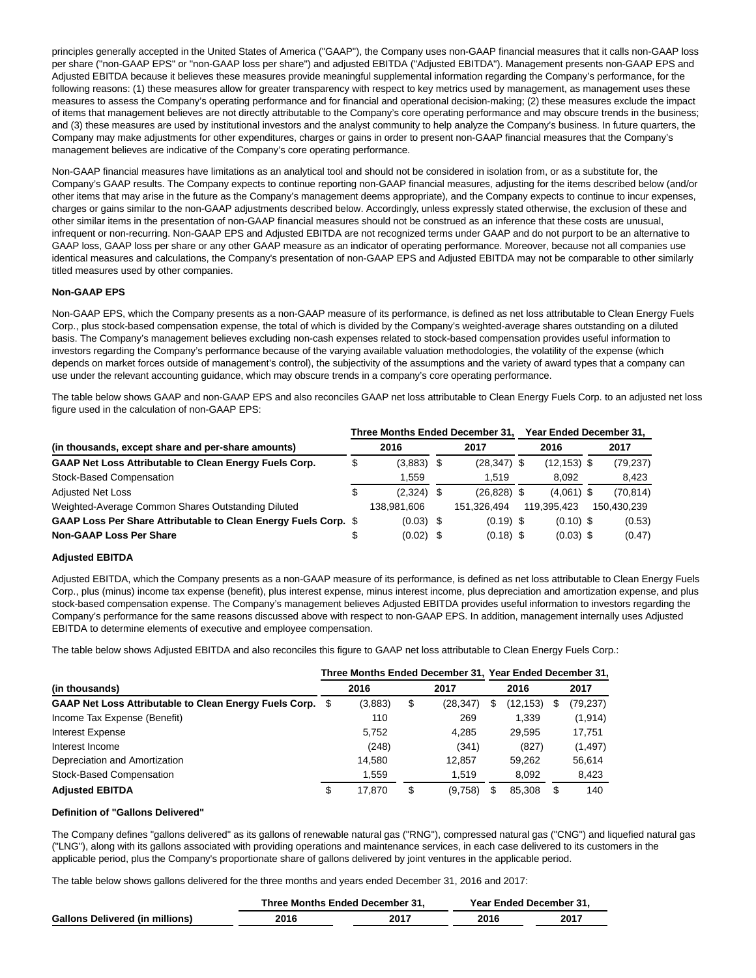principles generally accepted in the United States of America ("GAAP"), the Company uses non-GAAP financial measures that it calls non-GAAP loss per share ("non-GAAP EPS" or "non-GAAP loss per share") and adjusted EBITDA ("Adjusted EBITDA"). Management presents non-GAAP EPS and Adjusted EBITDA because it believes these measures provide meaningful supplemental information regarding the Company's performance, for the following reasons: (1) these measures allow for greater transparency with respect to key metrics used by management, as management uses these measures to assess the Company's operating performance and for financial and operational decision-making; (2) these measures exclude the impact of items that management believes are not directly attributable to the Company's core operating performance and may obscure trends in the business; and (3) these measures are used by institutional investors and the analyst community to help analyze the Company's business. In future quarters, the Company may make adjustments for other expenditures, charges or gains in order to present non-GAAP financial measures that the Company's management believes are indicative of the Company's core operating performance.

Non-GAAP financial measures have limitations as an analytical tool and should not be considered in isolation from, or as a substitute for, the Company's GAAP results. The Company expects to continue reporting non-GAAP financial measures, adjusting for the items described below (and/or other items that may arise in the future as the Company's management deems appropriate), and the Company expects to continue to incur expenses, charges or gains similar to the non-GAAP adjustments described below. Accordingly, unless expressly stated otherwise, the exclusion of these and other similar items in the presentation of non-GAAP financial measures should not be construed as an inference that these costs are unusual, infrequent or non-recurring. Non-GAAP EPS and Adjusted EBITDA are not recognized terms under GAAP and do not purport to be an alternative to GAAP loss, GAAP loss per share or any other GAAP measure as an indicator of operating performance. Moreover, because not all companies use identical measures and calculations, the Company's presentation of non-GAAP EPS and Adjusted EBITDA may not be comparable to other similarly titled measures used by other companies.

## **Non-GAAP EPS**

Non-GAAP EPS, which the Company presents as a non-GAAP measure of its performance, is defined as net loss attributable to Clean Energy Fuels Corp., plus stock-based compensation expense, the total of which is divided by the Company's weighted-average shares outstanding on a diluted basis. The Company's management believes excluding non-cash expenses related to stock-based compensation provides useful information to investors regarding the Company's performance because of the varying available valuation methodologies, the volatility of the expense (which depends on market forces outside of management's control), the subjectivity of the assumptions and the variety of award types that a company can use under the relevant accounting guidance, which may obscure trends in a company's core operating performance.

The table below shows GAAP and non-GAAP EPS and also reconciles GAAP net loss attributable to Clean Energy Fuels Corp. to an adjusted net loss figure used in the calculation of non-GAAP EPS:

| Three Months Ended December 31,                                 |    |              |  |                | Year Ended December 31, |                |  |             |  |
|-----------------------------------------------------------------|----|--------------|--|----------------|-------------------------|----------------|--|-------------|--|
| (in thousands, except share and per-share amounts)              |    | 2016         |  | 2017           |                         | 2016           |  | 2017        |  |
| <b>GAAP Net Loss Attributable to Clean Energy Fuels Corp.</b>   | \$ | $(3,883)$ \$ |  | $(28, 347)$ \$ |                         | $(12, 153)$ \$ |  | (79, 237)   |  |
| Stock-Based Compensation                                        |    | 1.559        |  | 1.519          |                         | 8.092          |  | 8,423       |  |
| <b>Adjusted Net Loss</b>                                        | \$ | $(2,324)$ \$ |  | $(26, 828)$ \$ |                         | $(4,061)$ \$   |  | (70, 814)   |  |
| Weighted-Average Common Shares Outstanding Diluted              |    | 138.981.606  |  | 151.326.494    |                         | 119.395.423    |  | 150,430,239 |  |
| GAAP Loss Per Share Attributable to Clean Energy Fuels Corp. \$ |    | $(0.03)$ \$  |  | $(0.19)$ \$    |                         | $(0.10)$ \$    |  | (0.53)      |  |
| <b>Non-GAAP Loss Per Share</b>                                  |    | $(0.02)$ \$  |  | $(0.18)$ \$    |                         | $(0.03)$ \$    |  | (0.47)      |  |

## **Adjusted EBITDA**

Adjusted EBITDA, which the Company presents as a non-GAAP measure of its performance, is defined as net loss attributable to Clean Energy Fuels Corp., plus (minus) income tax expense (benefit), plus interest expense, minus interest income, plus depreciation and amortization expense, and plus stock-based compensation expense. The Company's management believes Adjusted EBITDA provides useful information to investors regarding the Company's performance for the same reasons discussed above with respect to non-GAAP EPS. In addition, management internally uses Adjusted EBITDA to determine elements of executive and employee compensation.

The table below shows Adjusted EBITDA and also reconciles this figure to GAAP net loss attributable to Clean Energy Fuels Corp.:

|                                                           | Three Months Ended December 31, Year Ended December 31, |         |    |          |   |           |     |          |  |
|-----------------------------------------------------------|---------------------------------------------------------|---------|----|----------|---|-----------|-----|----------|--|
| (in thousands)                                            |                                                         | 2016    |    | 2017     |   | 2016      |     | 2017     |  |
| GAAP Net Loss Attributable to Clean Energy Fuels Corp. \$ |                                                         | (3,883) | \$ | (28,347) | S | (12, 153) |     | (79,237) |  |
| Income Tax Expense (Benefit)                              |                                                         | 110     |    | 269      |   | 1.339     |     | (1, 914) |  |
| Interest Expense                                          |                                                         | 5.752   |    | 4.285    |   | 29.595    |     | 17,751   |  |
| Interest Income                                           |                                                         | (248)   |    | (341)    |   | (827)     |     | (1, 497) |  |
| Depreciation and Amortization                             |                                                         | 14.580  |    | 12,857   |   | 59.262    |     | 56,614   |  |
| Stock-Based Compensation                                  |                                                         | 1.559   |    | 1.519    |   | 8,092     |     | 8,423    |  |
| <b>Adiusted EBITDA</b>                                    |                                                         | 17.870  | \$ | (9,758)  |   | 85.308    | \$. | 140      |  |

## **Definition of "Gallons Delivered"**

The Company defines "gallons delivered" as its gallons of renewable natural gas ("RNG"), compressed natural gas ("CNG") and liquefied natural gas ("LNG"), along with its gallons associated with providing operations and maintenance services, in each case delivered to its customers in the applicable period, plus the Company's proportionate share of gallons delivered by joint ventures in the applicable period.

The table below shows gallons delivered for the three months and years ended December 31, 2016 and 2017:

|                                        |      | Three Months Ended December 31, | Year Ended December 31. |      |
|----------------------------------------|------|---------------------------------|-------------------------|------|
| <b>Gallons Delivered (in millions)</b> | 2016 | 2017                            | 2016                    | 2017 |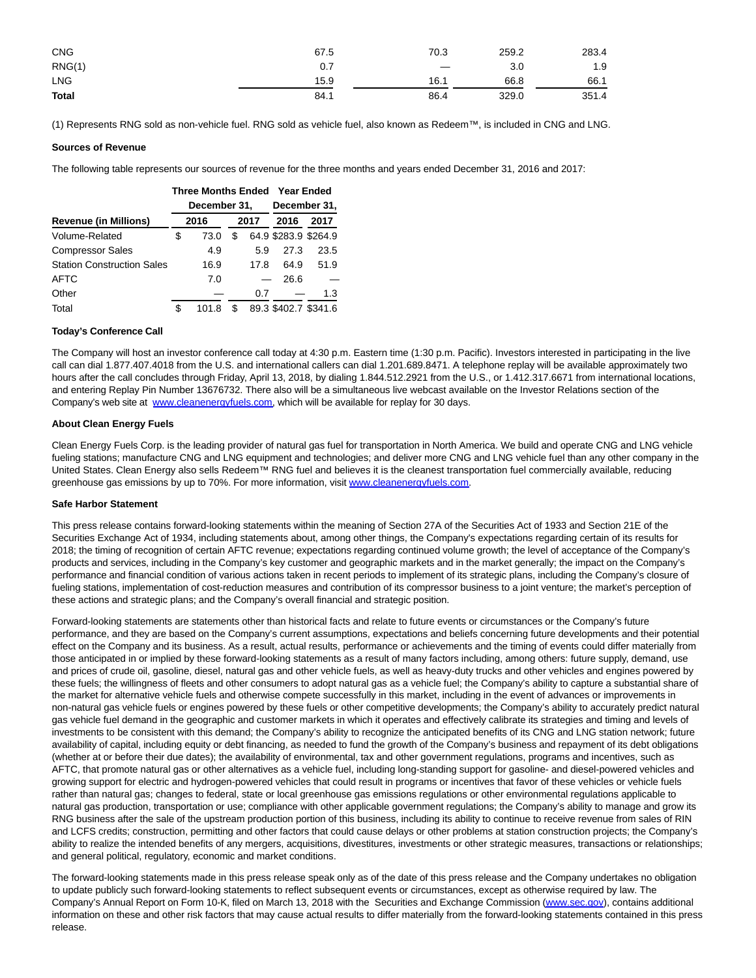| <b>CNG</b>   | 67.5 | 70.3 | 259.2 | 283.4 |
|--------------|------|------|-------|-------|
| RNG(1)       | 0.7  |      | 3.0   | 1.9   |
| <b>LNG</b>   | 15.9 | 16.1 | 66.8  | 66.1  |
| <b>Total</b> | 84.1 | 86.4 | 329.0 | 351.4 |

(1) Represents RNG sold as non-vehicle fuel. RNG sold as vehicle fuel, also known as Redeem™, is included in CNG and LNG.

### **Sources of Revenue**

The following table represents our sources of revenue for the three months and years ended December 31, 2016 and 2017:

|                                   |      | <b>Three Months Ended</b> | <b>Year Ended</b> |      |                      |      |  |  |
|-----------------------------------|------|---------------------------|-------------------|------|----------------------|------|--|--|
|                                   |      | December 31,              | December 31,      |      |                      |      |  |  |
| <b>Revenue (in Millions)</b>      | 2016 |                           | 2017              |      | 2016                 | 2017 |  |  |
| Volume-Related                    | \$   | 73.0                      | \$                |      | 64.9 \$283.9 \$264.9 |      |  |  |
| <b>Compressor Sales</b>           |      | 4.9                       |                   | 5.9  | 27.3                 | 23.5 |  |  |
| <b>Station Construction Sales</b> |      | 16.9                      |                   | 17.8 | 64.9                 | 51.9 |  |  |
| <b>AFTC</b>                       |      | 7.0                       |                   |      | 26.6                 |      |  |  |
| Other                             |      |                           |                   | 0.7  |                      | 1.3  |  |  |
| Total                             | \$   | 101.8                     | S                 |      | 89.3 \$402.7 \$341.6 |      |  |  |

#### **Today's Conference Call**

The Company will host an investor conference call today at 4:30 p.m. Eastern time (1:30 p.m. Pacific). Investors interested in participating in the live call can dial 1.877.407.4018 from the U.S. and international callers can dial 1.201.689.8471. A telephone replay will be available approximately two hours after the call concludes through Friday, April 13, 2018, by dialing 1.844.512.2921 from the U.S., or 1.412.317.6671 from international locations, and entering Replay Pin Number 13676732. There also will be a simultaneous live webcast available on the Investor Relations section of the Company's web site at [www.cleanenergyfuels.com,](http://cts.businesswire.com/ct/CT?id=smartlink&url=http%3A%2F%2Fwww.cleanenergyfuels.com&esheet=51772601&newsitemid=20180313006480&lan=en-US&anchor=www.cleanenergyfuels.com&index=1&md5=28f49afa760da5a61805017cbf2b147b) which will be available for replay for 30 days.

#### **About Clean Energy Fuels**

Clean Energy Fuels Corp. is the leading provider of natural gas fuel for transportation in North America. We build and operate CNG and LNG vehicle fueling stations; manufacture CNG and LNG equipment and technologies; and deliver more CNG and LNG vehicle fuel than any other company in the United States. Clean Energy also sells Redeem™ RNG fuel and believes it is the cleanest transportation fuel commercially available, reducing greenhouse gas emissions by up to 70%. For more information, visit [www.cleanenergyfuels.com.](http://cts.businesswire.com/ct/CT?id=smartlink&url=http%3A%2F%2Fwww.cleanenergyfuels.com&esheet=51772601&newsitemid=20180313006480&lan=en-US&anchor=www.cleanenergyfuels.com&index=2&md5=d6b6cd50753dd9cd9684b3bf282265bf)

#### **Safe Harbor Statement**

This press release contains forward-looking statements within the meaning of Section 27A of the Securities Act of 1933 and Section 21E of the Securities Exchange Act of 1934, including statements about, among other things, the Company's expectations regarding certain of its results for 2018; the timing of recognition of certain AFTC revenue; expectations regarding continued volume growth; the level of acceptance of the Company's products and services, including in the Company's key customer and geographic markets and in the market generally; the impact on the Company's performance and financial condition of various actions taken in recent periods to implement of its strategic plans, including the Company's closure of fueling stations, implementation of cost-reduction measures and contribution of its compressor business to a joint venture; the market's perception of these actions and strategic plans; and the Company's overall financial and strategic position.

Forward-looking statements are statements other than historical facts and relate to future events or circumstances or the Company's future performance, and they are based on the Company's current assumptions, expectations and beliefs concerning future developments and their potential effect on the Company and its business. As a result, actual results, performance or achievements and the timing of events could differ materially from those anticipated in or implied by these forward-looking statements as a result of many factors including, among others: future supply, demand, use and prices of crude oil, gasoline, diesel, natural gas and other vehicle fuels, as well as heavy-duty trucks and other vehicles and engines powered by these fuels; the willingness of fleets and other consumers to adopt natural gas as a vehicle fuel; the Company's ability to capture a substantial share of the market for alternative vehicle fuels and otherwise compete successfully in this market, including in the event of advances or improvements in non-natural gas vehicle fuels or engines powered by these fuels or other competitive developments; the Company's ability to accurately predict natural gas vehicle fuel demand in the geographic and customer markets in which it operates and effectively calibrate its strategies and timing and levels of investments to be consistent with this demand; the Company's ability to recognize the anticipated benefits of its CNG and LNG station network; future availability of capital, including equity or debt financing, as needed to fund the growth of the Company's business and repayment of its debt obligations (whether at or before their due dates); the availability of environmental, tax and other government regulations, programs and incentives, such as AFTC, that promote natural gas or other alternatives as a vehicle fuel, including long-standing support for gasoline- and diesel-powered vehicles and growing support for electric and hydrogen-powered vehicles that could result in programs or incentives that favor of these vehicles or vehicle fuels rather than natural gas; changes to federal, state or local greenhouse gas emissions regulations or other environmental regulations applicable to natural gas production, transportation or use; compliance with other applicable government regulations; the Company's ability to manage and grow its RNG business after the sale of the upstream production portion of this business, including its ability to continue to receive revenue from sales of RIN and LCFS credits; construction, permitting and other factors that could cause delays or other problems at station construction projects; the Company's ability to realize the intended benefits of any mergers, acquisitions, divestitures, investments or other strategic measures, transactions or relationships; and general political, regulatory, economic and market conditions.

The forward-looking statements made in this press release speak only as of the date of this press release and the Company undertakes no obligation to update publicly such forward-looking statements to reflect subsequent events or circumstances, except as otherwise required by law. The Company's Annual Report on Form 10-K, filed on March 13, 2018 with the Securities and Exchange Commission [\(www.sec.gov\),](http://cts.businesswire.com/ct/CT?id=smartlink&url=http%3A%2F%2Fwww.sec.gov&esheet=51772601&newsitemid=20180313006480&lan=en-US&anchor=www.sec.gov&index=3&md5=2cd895985860e84ffa18a245f7b920b5) contains additional information on these and other risk factors that may cause actual results to differ materially from the forward-looking statements contained in this press release.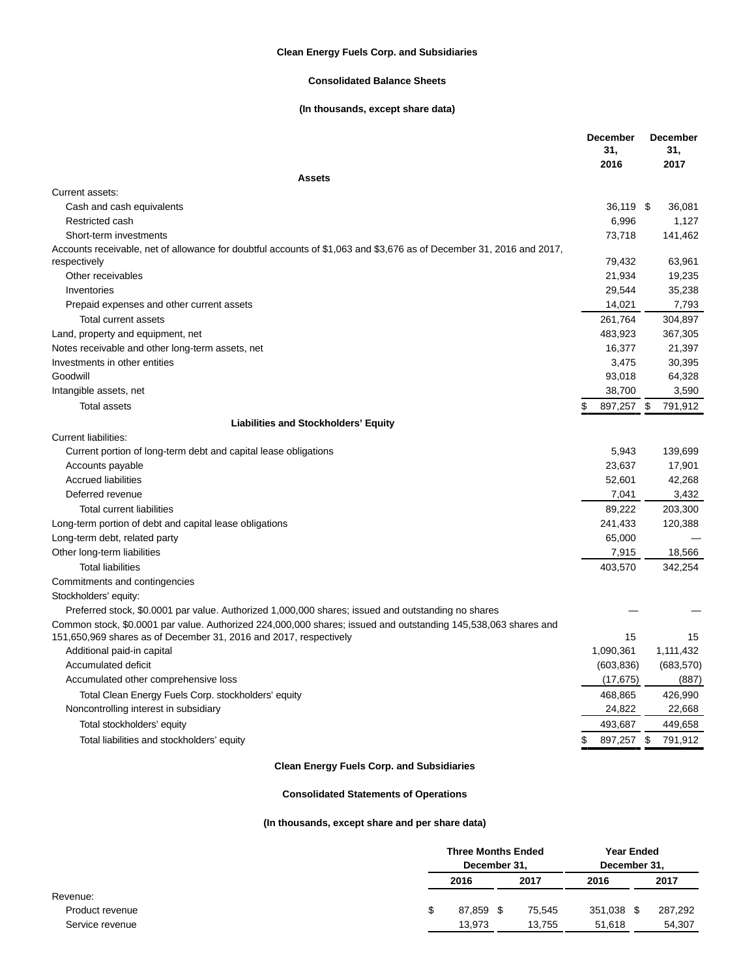## **Clean Energy Fuels Corp. and Subsidiaries**

## **Consolidated Balance Sheets**

# **(In thousands, except share data)**

|                                                                                                                      | <b>December</b><br>31,<br>2016 | <b>December</b><br>31,<br>2017 |
|----------------------------------------------------------------------------------------------------------------------|--------------------------------|--------------------------------|
| <b>Assets</b>                                                                                                        |                                |                                |
| Current assets:                                                                                                      |                                |                                |
| Cash and cash equivalents                                                                                            | 36,119 \$                      | 36,081                         |
| Restricted cash                                                                                                      | 6,996                          | 1,127                          |
| Short-term investments                                                                                               | 73,718                         | 141,462                        |
| Accounts receivable, net of allowance for doubtful accounts of \$1,063 and \$3,676 as of December 31, 2016 and 2017, |                                |                                |
| respectively                                                                                                         | 79,432                         | 63,961                         |
| Other receivables                                                                                                    | 21,934                         | 19,235                         |
| Inventories                                                                                                          | 29,544                         | 35,238                         |
| Prepaid expenses and other current assets                                                                            | 14,021                         | 7,793                          |
| Total current assets                                                                                                 | 261,764                        | 304,897                        |
| Land, property and equipment, net                                                                                    | 483,923                        | 367,305                        |
| Notes receivable and other long-term assets, net                                                                     | 16,377                         | 21,397                         |
| Investments in other entities                                                                                        | 3,475                          | 30,395                         |
| Goodwill                                                                                                             | 93,018                         | 64,328                         |
| Intangible assets, net                                                                                               | 38,700                         | 3,590                          |
| <b>Total assets</b>                                                                                                  | 897,257                        | \$<br>791.912                  |
| <b>Liabilities and Stockholders' Equity</b>                                                                          |                                |                                |
| <b>Current liabilities:</b>                                                                                          |                                |                                |
| Current portion of long-term debt and capital lease obligations                                                      | 5,943                          | 139,699                        |
| Accounts payable                                                                                                     | 23,637                         | 17,901                         |
| <b>Accrued liabilities</b>                                                                                           | 52,601                         | 42,268                         |
| Deferred revenue                                                                                                     | 7,041                          | 3,432                          |
| <b>Total current liabilities</b>                                                                                     | 89,222                         | 203,300                        |
| Long-term portion of debt and capital lease obligations                                                              | 241,433                        | 120,388                        |
| Long-term debt, related party                                                                                        | 65,000                         |                                |
| Other long-term liabilities                                                                                          | 7,915                          | 18,566                         |
| <b>Total liabilities</b>                                                                                             | 403,570                        | 342,254                        |
| Commitments and contingencies                                                                                        |                                |                                |
| Stockholders' equity:                                                                                                |                                |                                |
| Preferred stock, \$0.0001 par value. Authorized 1,000,000 shares; issued and outstanding no shares                   |                                |                                |
| Common stock, \$0.0001 par value. Authorized 224,000,000 shares; issued and outstanding 145,538,063 shares and       |                                |                                |
| 151,650,969 shares as of December 31, 2016 and 2017, respectively                                                    | 15                             | 15                             |
| Additional paid-in capital                                                                                           | 1,090,361                      | 1,111,432                      |
| Accumulated deficit                                                                                                  | (603, 836)                     | (683, 570)                     |
| Accumulated other comprehensive loss                                                                                 | (17, 675)                      | (887)                          |
| Total Clean Energy Fuels Corp. stockholders' equity                                                                  | 468,865                        | 426,990                        |
| Noncontrolling interest in subsidiary                                                                                | 24,822                         | 22,668                         |
| Total stockholders' equity                                                                                           | 493.687                        | 449.658                        |
| Total liabilities and stockholders' equity                                                                           | 897,257                        | \$<br>791,912                  |
|                                                                                                                      |                                |                                |

# **Clean Energy Fuels Corp. and Subsidiaries**

# **Consolidated Statements of Operations**

# **(In thousands, except share and per share data)**

|  | <b>Three Months Ended</b> |  | <b>Year Ended</b> |              |      |         |
|--|---------------------------|--|-------------------|--------------|------|---------|
|  | December 31,              |  |                   | December 31, |      |         |
|  | 2016                      |  | 2017              | 2016         |      | 2017    |
|  |                           |  |                   |              |      |         |
|  | 87.859 \$                 |  | 75.545            | 351.038      | - \$ | 287,292 |
|  | 13.973                    |  | 13.755            | 51.618       |      | 54.307  |